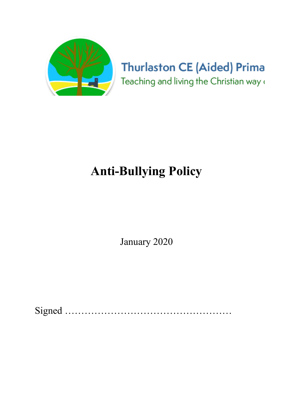

# **Thurlaston CE (Aided) Prima** Teaching and living the Christian way a

# Anti-Bullying Policy

January 2020

Signed ……………………………………………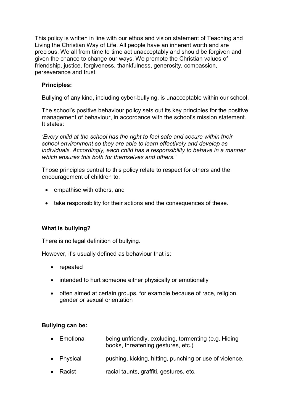This policy is written in line with our ethos and vision statement of Teaching and Living the Christian Way of Life. All people have an inherent worth and are precious. We all from time to time act unacceptably and should be forgiven and given the chance to change our ways. We promote the Christian values of friendship, justice, forgiveness, thankfulness, generosity, compassion, perseverance and trust.

### Principles:

Bullying of any kind, including cyber-bullying, is unacceptable within our school.

The school's positive behaviour policy sets out its key principles for the positive management of behaviour, in accordance with the school's mission statement. It states:

'Every child at the school has the right to feel safe and secure within their school environment so they are able to learn effectively and develop as individuals. Accordingly, each child has a responsibility to behave in a manner which ensures this both for themselves and others.'

Those principles central to this policy relate to respect for others and the encouragement of children to:

- empathise with others, and
- take responsibility for their actions and the consequences of these.

# What is bullying?

There is no legal definition of bullying.

However, it's usually defined as behaviour that is:

- repeated
- intended to hurt someone either physically or emotionally
- often aimed at certain groups, for example because of race, religion, gender or sexual orientation

#### Bullying can be:

- Emotional being unfriendly, excluding, tormenting (e.g. Hiding books, threatening gestures, etc.)
- Physical pushing, kicking, hitting, punching or use of violence.
- Racist racial taunts, graffiti, gestures, etc.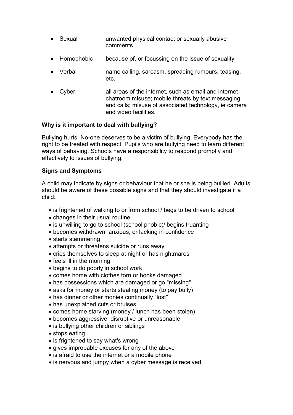- Sexual unwanted physical contact or sexually abusive comments
- Homophobic because of, or focussing on the issue of sexuality
- Verbal name calling, sarcasm, spreading rumours, teasing, etc.
- Cyber all areas of the internet, such as email and internet chatroom misuse; mobile threats by text messaging and calls; misuse of associated technology, ie camera and video facilities.

# Why is it important to deal with bullying?

Bullying hurts. No-one deserves to be a victim of bullying. Everybody has the right to be treated with respect. Pupils who are bullying need to learn different ways of behaving. Schools have a responsibility to respond promptly and effectively to issues of bullying.

#### Signs and Symptoms

A child may indicate by signs or behaviour that he or she is being bullied. Adults should be aware of these possible signs and that they should investigate if a child:

- is frightened of walking to or from school / begs to be driven to school
- changes in their usual routine
- is unwilling to go to school (school phobic) begins truanting
- becomes withdrawn, anxious, or lacking in confidence
- starts stammering
- attempts or threatens suicide or runs away
- cries themselves to sleep at night or has nightmares
- feels ill in the morning
- begins to do poorly in school work
- comes home with clothes torn or books damaged
- has possessions which are damaged or go "missing"
- asks for money or starts stealing money (to pay bully)
- has dinner or other monies continually "lost"
- has unexplained cuts or bruises
- comes home starving (money / lunch has been stolen)
- becomes aggressive, disruptive or unreasonable
- is bullying other children or siblings
- stops eating
- is frightened to say what's wrong
- gives improbable excuses for any of the above
- is afraid to use the internet or a mobile phone
- is nervous and jumpy when a cyber message is received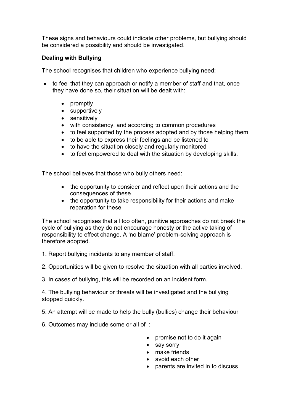These signs and behaviours could indicate other problems, but bullying should be considered a possibility and should be investigated.

# Dealing with Bullying

The school recognises that children who experience bullying need:

- to feel that they can approach or notify a member of staff and that, once they have done so, their situation will be dealt with:
	- promptly
	- supportively
	- sensitively
	- with consistency, and according to common procedures
	- to feel supported by the process adopted and by those helping them
	- to be able to express their feelings and be listened to
	- to have the situation closely and regularly monitored
	- to feel empowered to deal with the situation by developing skills.

The school believes that those who bully others need:

- the opportunity to consider and reflect upon their actions and the consequences of these
- the opportunity to take responsibility for their actions and make reparation for these

The school recognises that all too often, punitive approaches do not break the cycle of bullying as they do not encourage honesty or the active taking of responsibility to effect change. A 'no blame' problem-solving approach is therefore adopted.

- 1. Report bullying incidents to any member of staff.
- 2. Opportunities will be given to resolve the situation with all parties involved.
- 3. In cases of bullying, this will be recorded on an incident form.

4. The bullying behaviour or threats will be investigated and the bullying stopped quickly.

- 5. An attempt will be made to help the bully (bullies) change their behaviour
- 6. Outcomes may include some or all of :
	- promise not to do it again
	- say sorry
	- make friends
	- avoid each other
	- parents are invited in to discuss